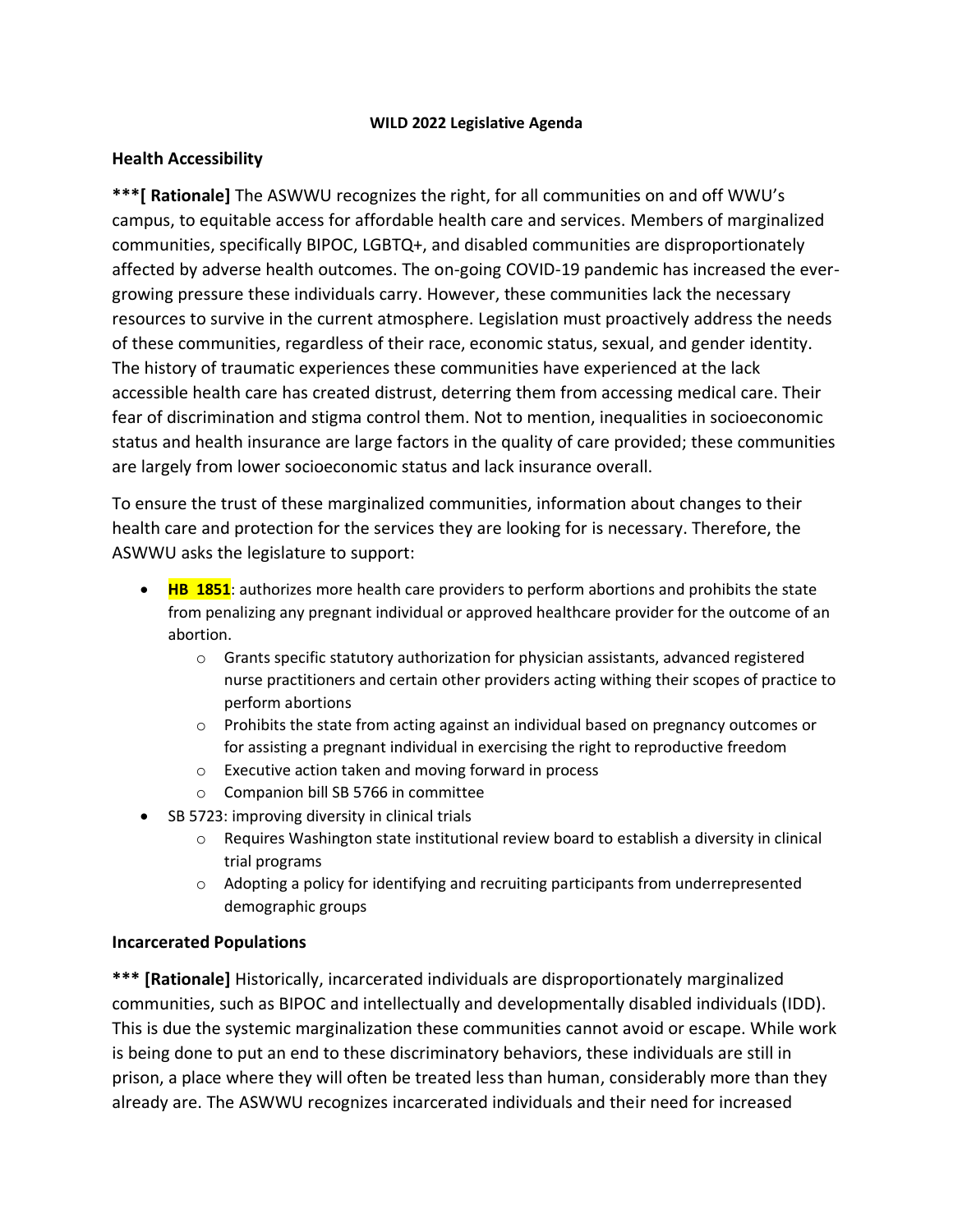#### **WILD 2022 Legislative Agenda**

### **Health Accessibility**

**\*\*\*[ Rationale]** The ASWWU recognizes the right, for all communities on and off WWU's campus, to equitable access for affordable health care and services. Members of marginalized communities, specifically BIPOC, LGBTQ+, and disabled communities are disproportionately affected by adverse health outcomes. The on-going COVID-19 pandemic has increased the evergrowing pressure these individuals carry. However, these communities lack the necessary resources to survive in the current atmosphere. Legislation must proactively address the needs of these communities, regardless of their race, economic status, sexual, and gender identity. The history of traumatic experiences these communities have experienced at the lack accessible health care has created distrust, deterring them from accessing medical care. Their fear of discrimination and stigma control them. Not to mention, inequalities in socioeconomic status and health insurance are large factors in the quality of care provided; these communities are largely from lower socioeconomic status and lack insurance overall.

To ensure the trust of these marginalized communities, information about changes to their health care and protection for the services they are looking for is necessary. Therefore, the ASWWU asks the legislature to support:

- **HB 1851**: authorizes more health care providers to perform abortions and prohibits the state from penalizing any pregnant individual or approved healthcare provider for the outcome of an abortion.
	- o Grants specific statutory authorization for physician assistants, advanced registered nurse practitioners and certain other providers acting withing their scopes of practice to perform abortions
	- o Prohibits the state from acting against an individual based on pregnancy outcomes or for assisting a pregnant individual in exercising the right to reproductive freedom
	- o Executive action taken and moving forward in process
	- o Companion bill SB 5766 in committee
- SB 5723: improving diversity in clinical trials
	- o Requires Washington state institutional review board to establish a diversity in clinical trial programs
	- o Adopting a policy for identifying and recruiting participants from underrepresented demographic groups

#### **Incarcerated Populations**

**\*\*\* [Rationale]** Historically, incarcerated individuals are disproportionately marginalized communities, such as BIPOC and intellectually and developmentally disabled individuals (IDD). This is due the systemic marginalization these communities cannot avoid or escape. While work is being done to put an end to these discriminatory behaviors, these individuals are still in prison, a place where they will often be treated less than human, considerably more than they already are. The ASWWU recognizes incarcerated individuals and their need for increased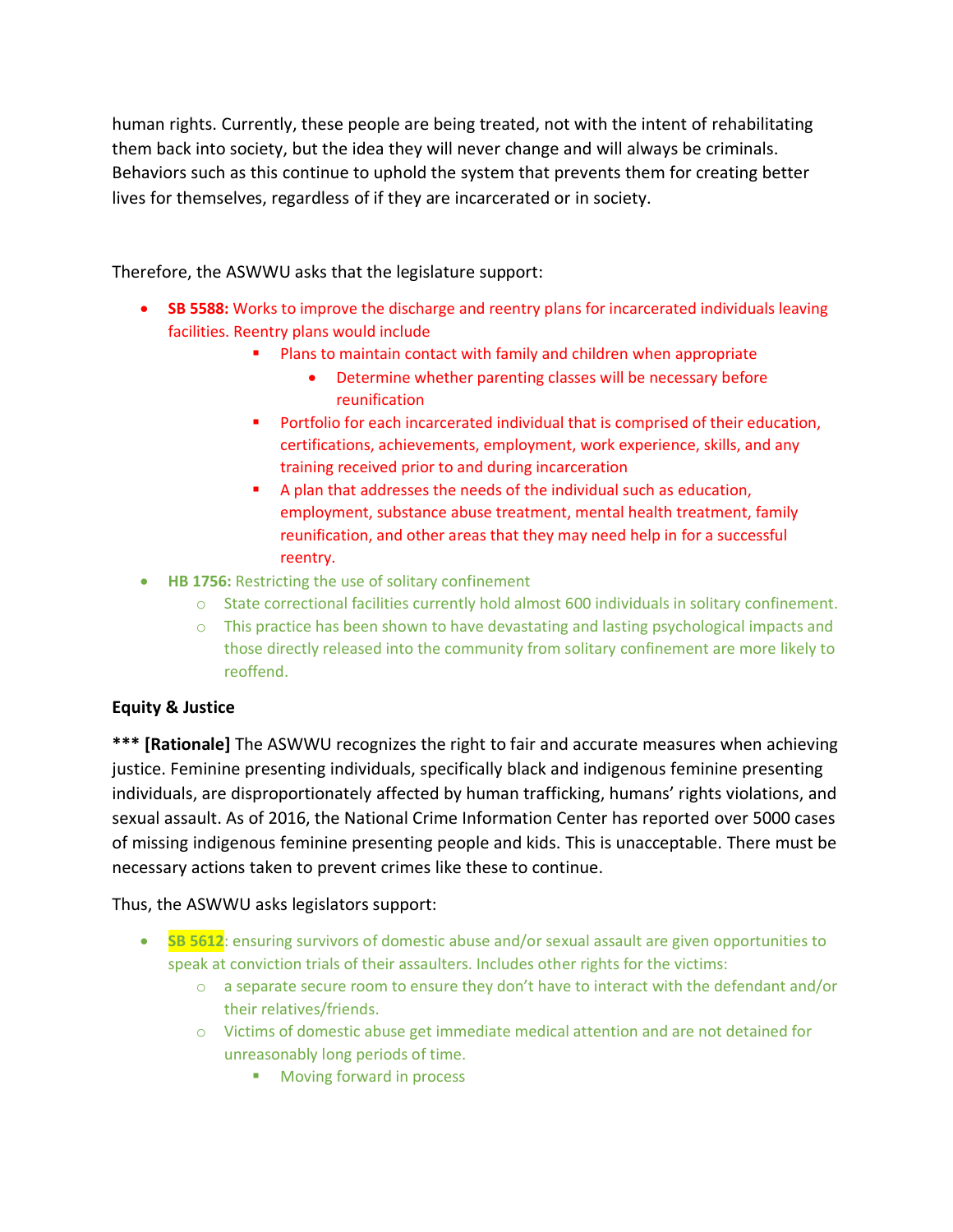human rights. Currently, these people are being treated, not with the intent of rehabilitating them back into society, but the idea they will never change and will always be criminals. Behaviors such as this continue to uphold the system that prevents them for creating better lives for themselves, regardless of if they are incarcerated or in society.

Therefore, the ASWWU asks that the legislature support:

- **SB 5588:** Works to improve the discharge and reentry plans for incarcerated individuals leaving facilities. Reentry plans would include
	- Plans to maintain contact with family and children when appropriate
		- Determine whether parenting classes will be necessary before reunification
	- Portfolio for each incarcerated individual that is comprised of their education, certifications, achievements, employment, work experience, skills, and any training received prior to and during incarceration
	- A plan that addresses the needs of the individual such as education, employment, substance abuse treatment, mental health treatment, family reunification, and other areas that they may need help in for a successful reentry.
- **HB 1756:** Restricting the use of solitary confinement
	- o State correctional facilities currently hold almost 600 individuals in solitary confinement.
	- $\circ$  This practice has been shown to have devastating and lasting psychological impacts and those directly released into the community from solitary confinement are more likely to reoffend.

#### **Equity & Justice**

**\*\*\* [Rationale]** The ASWWU recognizes the right to fair and accurate measures when achieving justice. Feminine presenting individuals, specifically black and indigenous feminine presenting individuals, are disproportionately affected by human trafficking, humans' rights violations, and sexual assault. As of 2016, the National Crime Information Center has reported over 5000 cases of missing indigenous feminine presenting people and kids. This is unacceptable. There must be necessary actions taken to prevent crimes like these to continue.

Thus, the ASWWU asks legislators support:

- **SB 5612**: ensuring survivors of domestic abuse and/or sexual assault are given opportunities to speak at conviction trials of their assaulters. Includes other rights for the victims:
	- $\circ$  a separate secure room to ensure they don't have to interact with the defendant and/or their relatives/friends.
	- o Victims of domestic abuse get immediate medical attention and are not detained for unreasonably long periods of time.
		- Moving forward in process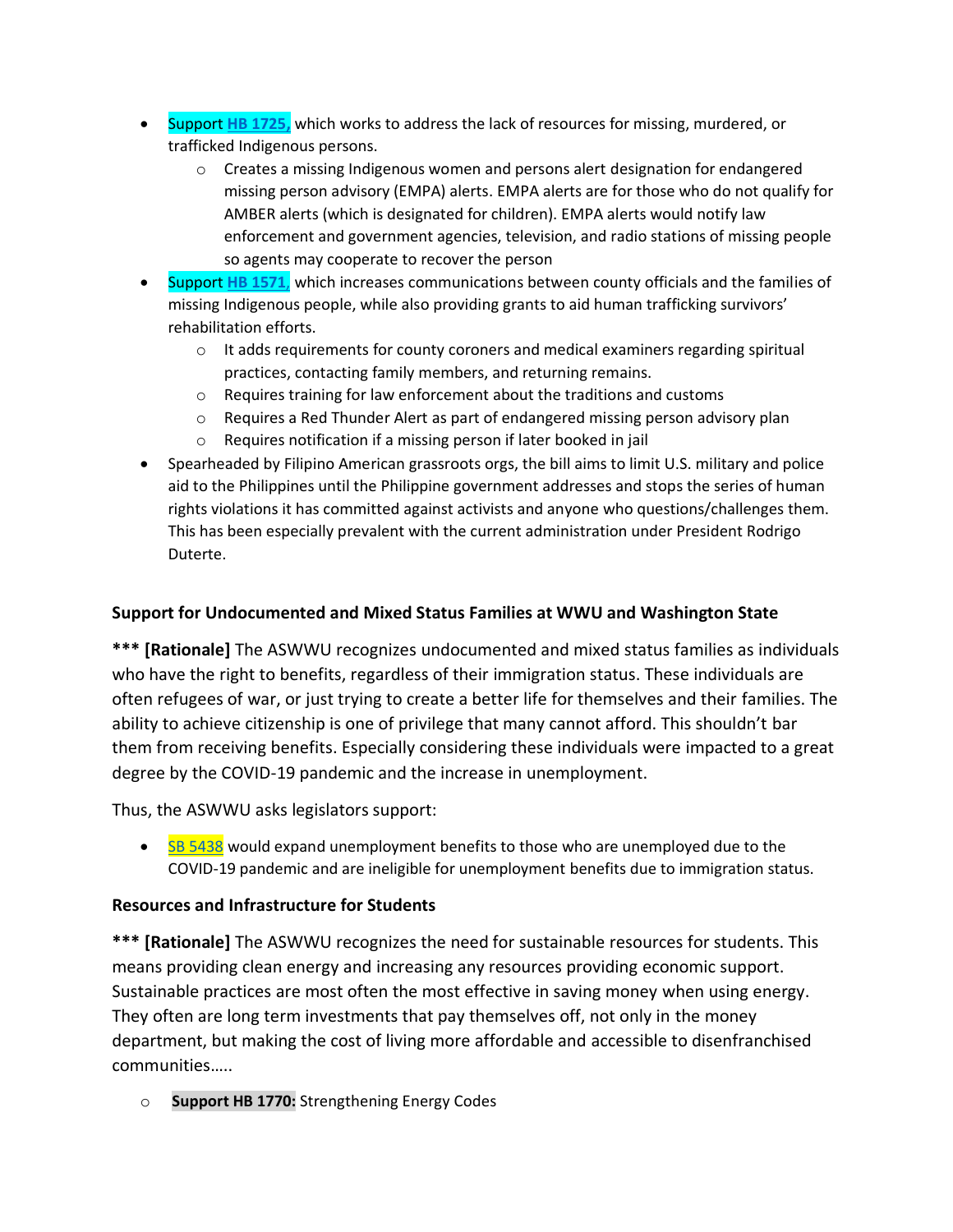- Support **[HB 1725,](https://app.leg.wa.gov/billsummary?billnumber=1725&year=2022)** which works to address the lack of resources for missing, murdered, or trafficked Indigenous persons.
	- $\circ$  Creates a missing Indigenous women and persons alert designation for endangered missing person advisory (EMPA) alerts. EMPA alerts are for those who do not qualify for AMBER alerts (which is designated for children). EMPA alerts would notify law enforcement and government agencies, television, and radio stations of missing people so agents may cooperate to recover the person
- Support **[HB 1571](https://apps.leg.wa.gov/billsummary?year=2021&billnumber=1571&initiative=false)**, which increases communications between county officials and the families of missing Indigenous people, while also providing grants to aid human trafficking survivors' rehabilitation efforts.
	- o It adds requirements for county coroners and medical examiners regarding spiritual practices, contacting family members, and returning remains.
	- o Requires training for law enforcement about the traditions and customs
	- $\circ$  Requires a Red Thunder Alert as part of endangered missing person advisory plan
	- o Requires notification if a missing person if later booked in jail
- Spearheaded by Filipino American grassroots orgs, the bill aims to limit U.S. military and police aid to the Philippines until the Philippine government addresses and stops the series of human rights violations it has committed against activists and anyone who questions/challenges them. This has been especially prevalent with the current administration under President Rodrigo Duterte.

# **Support for Undocumented and Mixed Status Families at WWU and Washington State**

**\*\*\* [Rationale]** The ASWWU recognizes undocumented and mixed status families as individuals who have the right to benefits, regardless of their immigration status. These individuals are often refugees of war, or just trying to create a better life for themselves and their families. The ability to achieve citizenship is one of privilege that many cannot afford. This shouldn't bar them from receiving benefits. Especially considering these individuals were impacted to a great degree by the COVID-19 pandemic and the increase in unemployment.

Thus, the ASWWU asks legislators support:

• [SB 5438](https://app.leg.wa.gov/billsummary?year=2021&billnumber=5438&initiative=false) would expand unemployment benefits to those who are unemployed due to the COVID-19 pandemic and are ineligible for unemployment benefits due to immigration status.

# **Resources and Infrastructure for Students**

**\*\*\* [Rationale]** The ASWWU recognizes the need for sustainable resources for students. This means providing clean energy and increasing any resources providing economic support. Sustainable practices are most often the most effective in saving money when using energy. They often are long term investments that pay themselves off, not only in the money department, but making the cost of living more affordable and accessible to disenfranchised communities…..

o **Support HB 1770:** Strengthening Energy Codes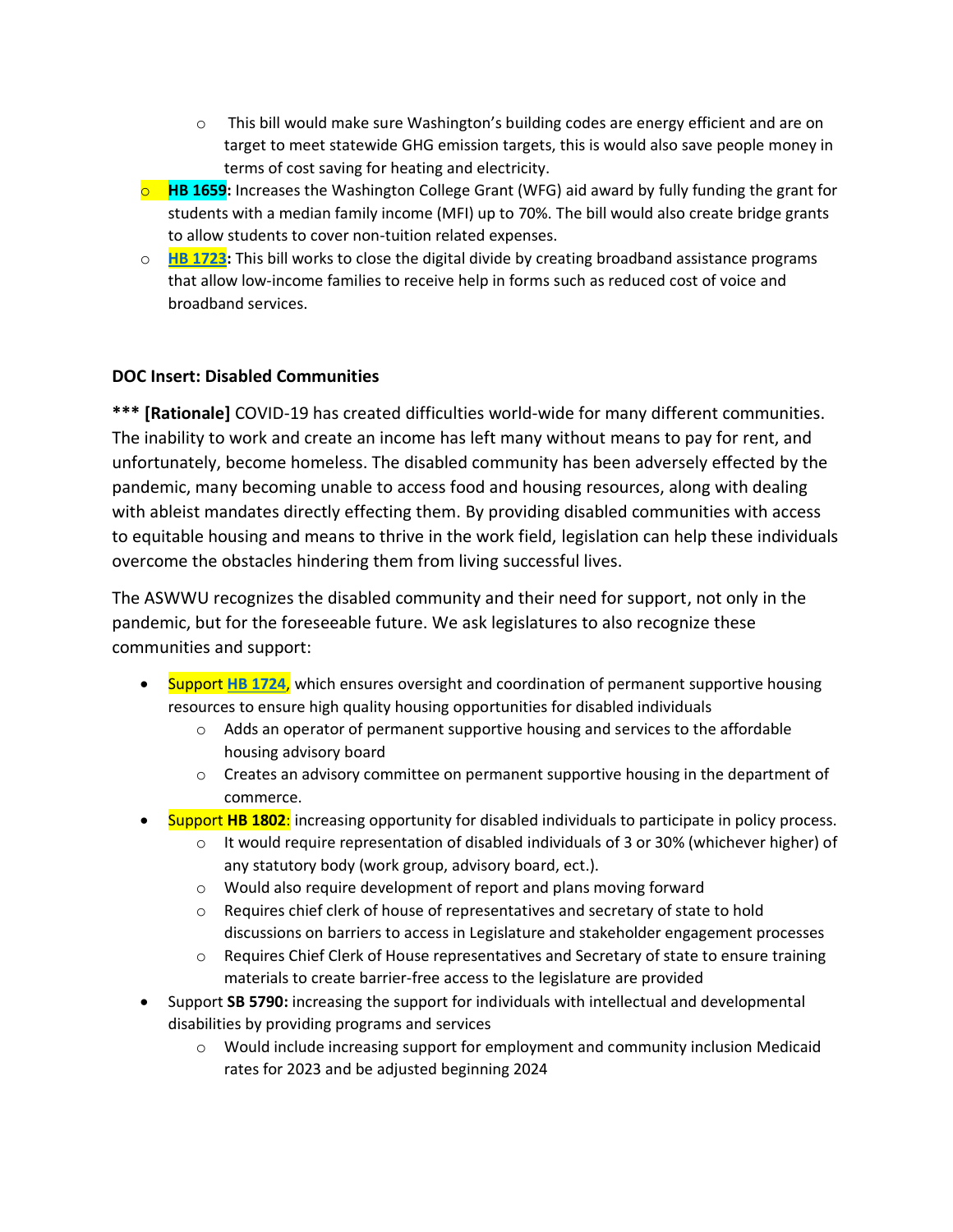- $\circ$  This bill would make sure Washington's building codes are energy efficient and are on target to meet statewide GHG emission targets, this is would also save people money in terms of cost saving for heating and electricity.
- o **HB 1659:** Increases the Washington College Grant (WFG) aid award by fully funding the grant for students with a median family income (MFI) up to 70%. The bill would also create bridge grants to allow students to cover non-tuition related expenses.
- o **[HB 1723:](https://app.leg.wa.gov/billsummary?billnumber=1723&year=2022)** This bill works to close the digital divide by creating broadband assistance programs that allow low-income families to receive help in forms such as reduced cost of voice and broadband services.

## **DOC Insert: Disabled Communities**

**\*\*\* [Rationale]** COVID-19 has created difficulties world-wide for many different communities. The inability to work and create an income has left many without means to pay for rent, and unfortunately, become homeless. The disabled community has been adversely effected by the pandemic, many becoming unable to access food and housing resources, along with dealing with ableist mandates directly effecting them. By providing disabled communities with access to equitable housing and means to thrive in the work field, legislation can help these individuals overcome the obstacles hindering them from living successful lives.

The ASWWU recognizes the disabled community and their need for support, not only in the pandemic, but for the foreseeable future. We ask legislatures to also recognize these communities and support:

- Support **[HB 1724](https://app.leg.wa.gov/billsummary?billnumber=1724&year=2022)**, which ensures oversight and coordination of permanent supportive housing resources to ensure high quality housing opportunities for disabled individuals
	- $\circ$  Adds an operator of permanent supportive housing and services to the affordable housing advisory board
	- $\circ$  Creates an advisory committee on permanent supportive housing in the department of commerce.
- Support **HB 1802**: increasing opportunity for disabled individuals to participate in policy process.
	- $\circ$  It would require representation of disabled individuals of 3 or 30% (whichever higher) of any statutory body (work group, advisory board, ect.).
	- o Would also require development of report and plans moving forward
	- o Requires chief clerk of house of representatives and secretary of state to hold discussions on barriers to access in Legislature and stakeholder engagement processes
	- o Requires Chief Clerk of House representatives and Secretary of state to ensure training materials to create barrier-free access to the legislature are provided
- Support **SB 5790:** increasing the support for individuals with intellectual and developmental disabilities by providing programs and services
	- $\circ$  Would include increasing support for employment and community inclusion Medicaid rates for 2023 and be adjusted beginning 2024